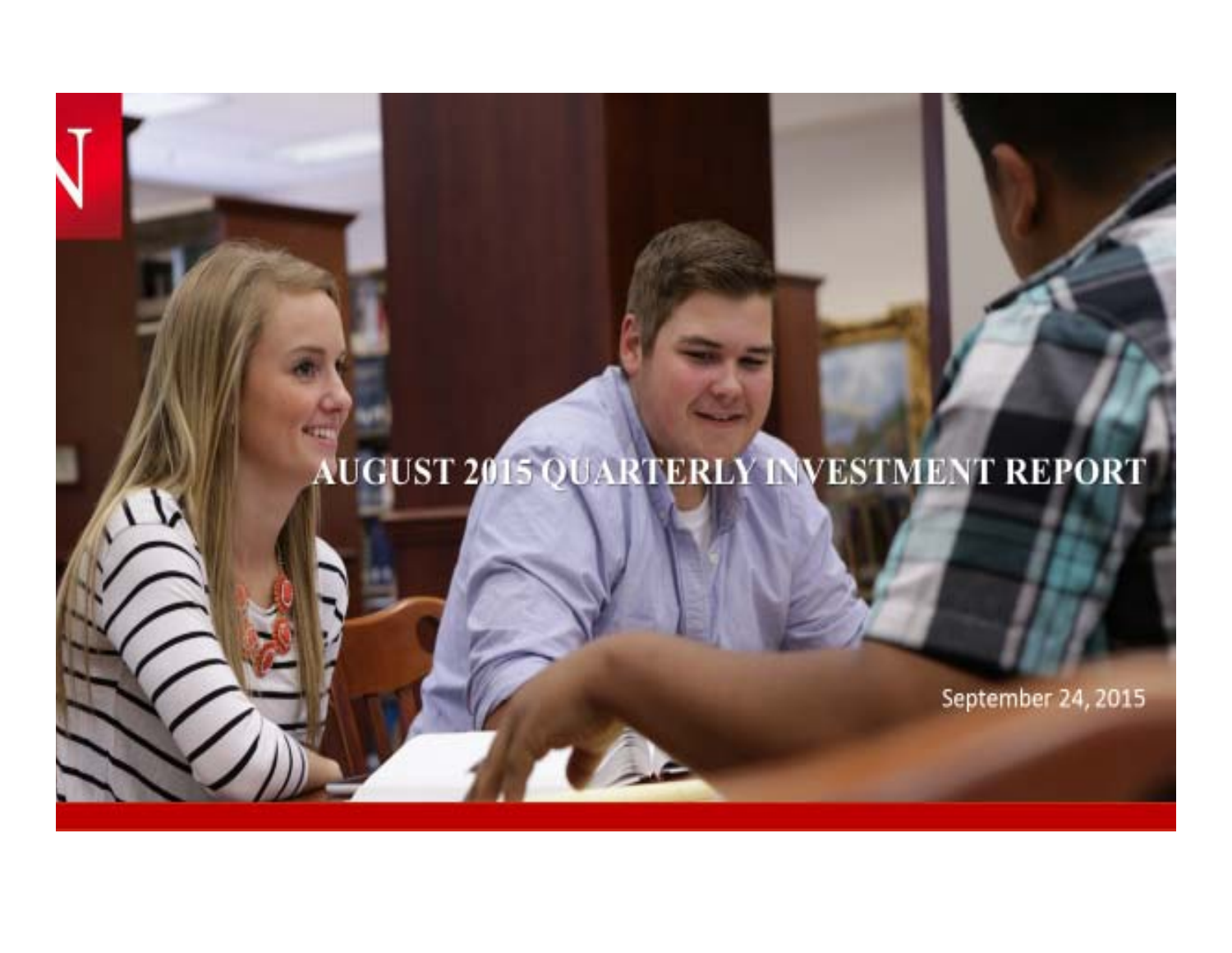# AUGUST 2015 QUARTERLY INVESTMENT REPORT

September 24, 2015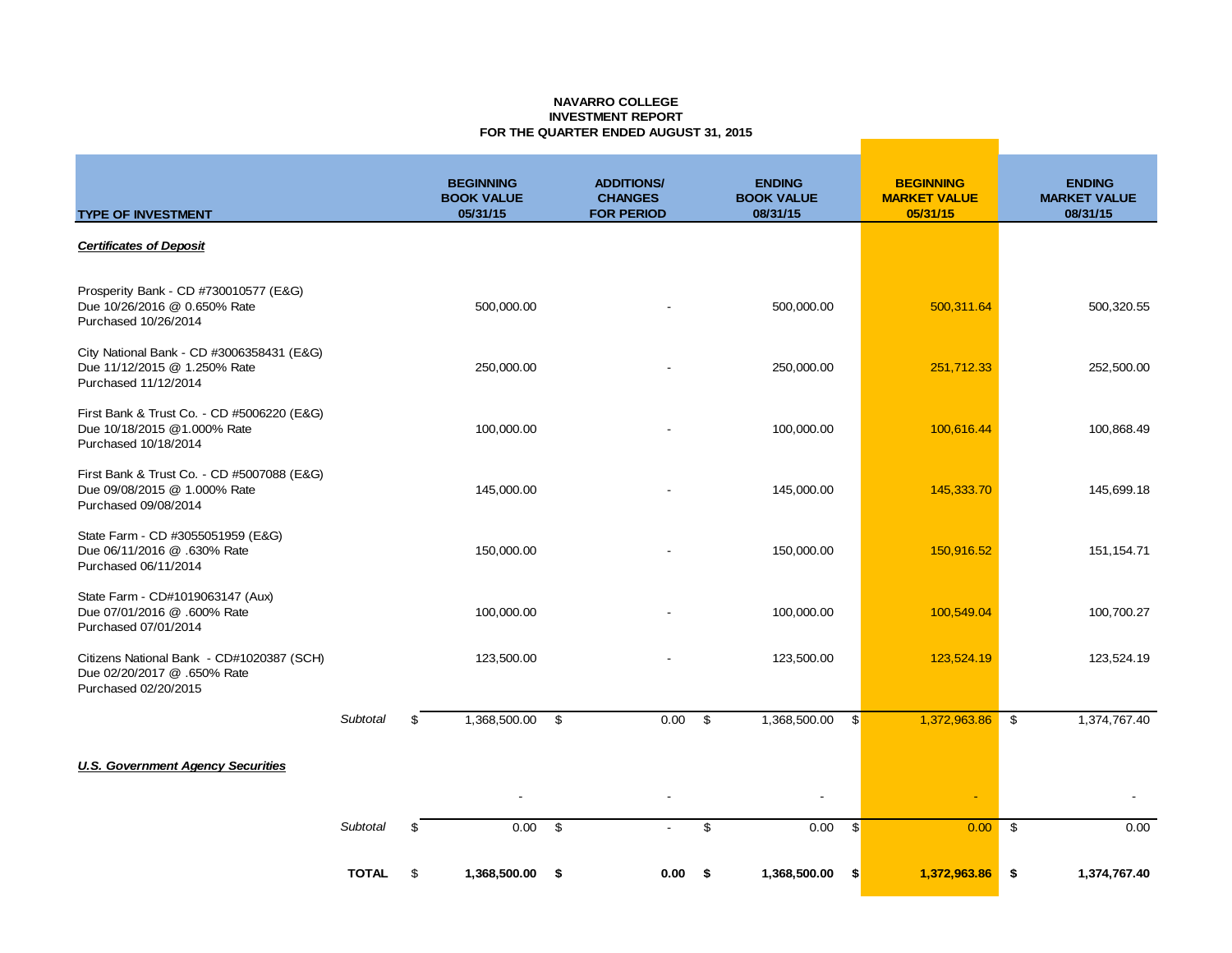#### **NAVARRO COLLEGE INVESTMENT REPORTFOR THE QUARTER ENDED AUGUST 31, 2015**

| <b>TYPE OF INVESTMENT</b>                                                                          |                 | <b>BEGINNING</b><br><b>BOOK VALUE</b><br>05/31/15 | <b>ADDITIONS/</b><br><b>CHANGES</b><br><b>FOR PERIOD</b> |      | <b>ENDING</b><br><b>BOOK VALUE</b><br>08/31/15 |              | <b>BEGINNING</b><br><b>MARKET VALUE</b><br>05/31/15 |               | <b>ENDING</b><br><b>MARKET VALUE</b><br>08/31/15 |
|----------------------------------------------------------------------------------------------------|-----------------|---------------------------------------------------|----------------------------------------------------------|------|------------------------------------------------|--------------|-----------------------------------------------------|---------------|--------------------------------------------------|
| <b>Certificates of Deposit</b>                                                                     |                 |                                                   |                                                          |      |                                                |              |                                                     |               |                                                  |
| Prosperity Bank - CD #730010577 (E&G)<br>Due 10/26/2016 @ 0.650% Rate<br>Purchased 10/26/2014      |                 | 500,000.00                                        |                                                          |      | 500,000.00                                     |              | 500,311.64                                          |               | 500,320.55                                       |
| City National Bank - CD #3006358431 (E&G)<br>Due 11/12/2015 @ 1.250% Rate<br>Purchased 11/12/2014  |                 | 250,000.00                                        |                                                          |      | 250,000.00                                     |              | 251,712.33                                          |               | 252,500.00                                       |
| First Bank & Trust Co. - CD #5006220 (E&G)<br>Due 10/18/2015 @1.000% Rate<br>Purchased 10/18/2014  |                 | 100,000.00                                        |                                                          |      | 100,000.00                                     |              | 100,616.44                                          |               | 100,868.49                                       |
| First Bank & Trust Co. - CD #5007088 (E&G)<br>Due 09/08/2015 @ 1.000% Rate<br>Purchased 09/08/2014 |                 | 145,000.00                                        |                                                          |      | 145,000.00                                     |              | 145,333.70                                          |               | 145,699.18                                       |
| State Farm - CD #3055051959 (E&G)<br>Due 06/11/2016 @ .630% Rate<br>Purchased 06/11/2014           |                 | 150,000.00                                        |                                                          |      | 150,000.00                                     |              | 150,916.52                                          |               | 151, 154. 71                                     |
| State Farm - CD#1019063147 (Aux)<br>Due 07/01/2016 @ .600% Rate<br>Purchased 07/01/2014            |                 | 100,000.00                                        |                                                          |      | 100,000.00                                     |              | 100,549.04                                          |               | 100,700.27                                       |
| Citizens National Bank - CD#1020387 (SCH)<br>Due 02/20/2017 @ .650% Rate<br>Purchased 02/20/2015   |                 | 123,500.00                                        |                                                          |      | 123,500.00                                     |              | 123,524.19                                          |               | 123,524.19                                       |
|                                                                                                    | <b>Subtotal</b> | \$<br>1,368,500.00                                | \$<br>0.00                                               | \$   | 1,368,500.00                                   | $\mathbb{S}$ | 1,372,963.86                                        | \$            | 1,374,767.40                                     |
| <b>U.S. Government Agency Securities</b>                                                           |                 |                                                   |                                                          |      |                                                |              |                                                     |               |                                                  |
|                                                                                                    |                 |                                                   |                                                          |      | $\overline{\phantom{a}}$                       |              | $\blacksquare$                                      |               |                                                  |
|                                                                                                    | Subtotal        | \$<br>0.00                                        | \$                                                       | \$   | 0.00                                           | $\mathbb{S}$ | 0.00                                                | $\mathfrak s$ | 0.00                                             |
|                                                                                                    | <b>TOTAL</b>    | \$<br>1,368,500.00                                | \$<br>0.00                                               | - \$ | 1,368,500.00                                   | \$           | 1,372,963.86                                        | \$            | 1,374,767.40                                     |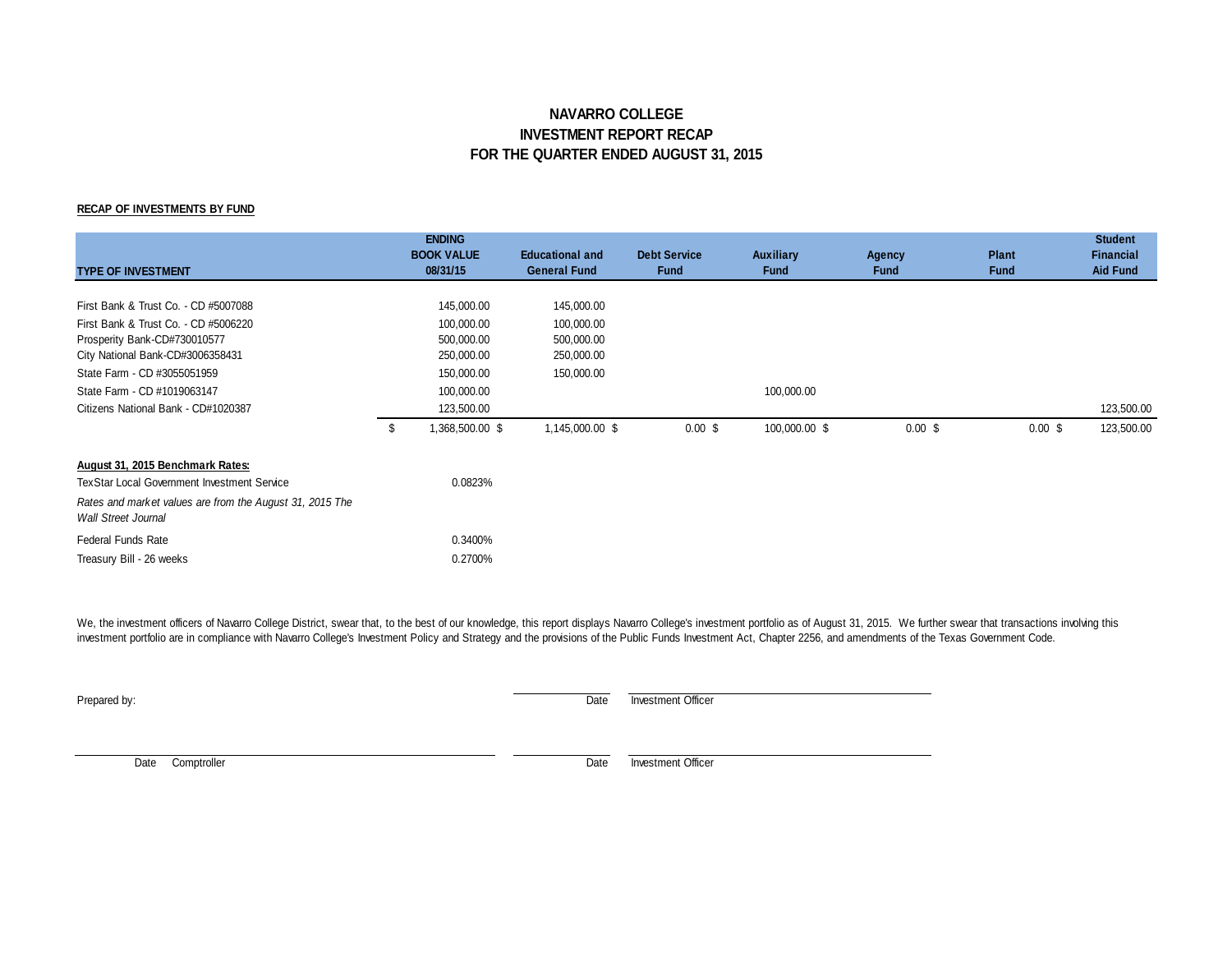### **NAVARRO COLLEGE INVESTMENT REPORT RECAP FOR THE QUARTER ENDED AUGUST 31, 2015**

#### **RECAP OF INVESTMENTS BY FUND**

| <b>TYPE OF INVESTMENT</b>                                                                                    | <b>ENDING</b><br><b>BOOK VALUE</b><br>08/31/15    | <b>Educational and</b><br><b>General Fund</b> | <b>Debt Service</b><br><b>Fund</b> | <b>Auxiliary</b><br><b>Fund</b> | Agency<br><b>Fund</b> | <b>Plant</b><br><b>Fund</b> | <b>Student</b><br><b>Financial</b><br><b>Aid Fund</b> |
|--------------------------------------------------------------------------------------------------------------|---------------------------------------------------|-----------------------------------------------|------------------------------------|---------------------------------|-----------------------|-----------------------------|-------------------------------------------------------|
| First Bank & Trust Co. - CD #5007088<br>First Bank & Trust Co. - CD #5006220<br>Prosperity Bank-CD#730010577 | 145,000.00<br>100,000.00<br>500,000.00            | 145,000.00<br>100,000.00<br>500,000.00        |                                    |                                 |                       |                             |                                                       |
| City National Bank-CD#3006358431<br>State Farm - CD #3055051959                                              | 250,000.00<br>150,000.00                          | 250,000.00<br>150,000.00                      |                                    |                                 |                       |                             |                                                       |
| State Farm - CD #1019063147<br>Citizens National Bank - CD#1020387                                           | \$<br>100,000.00<br>123,500.00<br>1,368,500.00 \$ | 1,145,000.00 \$                               | 0.00~\$                            | 100,000.00<br>100,000.00 \$     | 0.00~\$               | $0.00$ \$                   | 123,500.00<br>123,500.00                              |
| August 31, 2015 Benchmark Rates:<br><b>TexStar Local Government Investment Service</b>                       | 0.0823%                                           |                                               |                                    |                                 |                       |                             |                                                       |
| Rates and market values are from the August 31, 2015 The<br><b>Wall Street Journal</b>                       |                                                   |                                               |                                    |                                 |                       |                             |                                                       |
| <b>Federal Funds Rate</b><br>Treasury Bill - 26 weeks                                                        | 0.3400%<br>0.2700%                                |                                               |                                    |                                 |                       |                             |                                                       |

We, the investment officers of Navarro College District, swear that, to the best of our knowledge, this report displays Navarro College's investment portfolio as of August 31, 2015. We further swear that transactions invol investment portfolio are in compliance with Navarro College's Investment Policy and Strategy and the provisions of the Public Funds Investment Act, Chapter 2256, and amendments of the Texas Government Code.

**Prepared by:** Date Investment Officer

Date Comptroller **Date** Investment Officer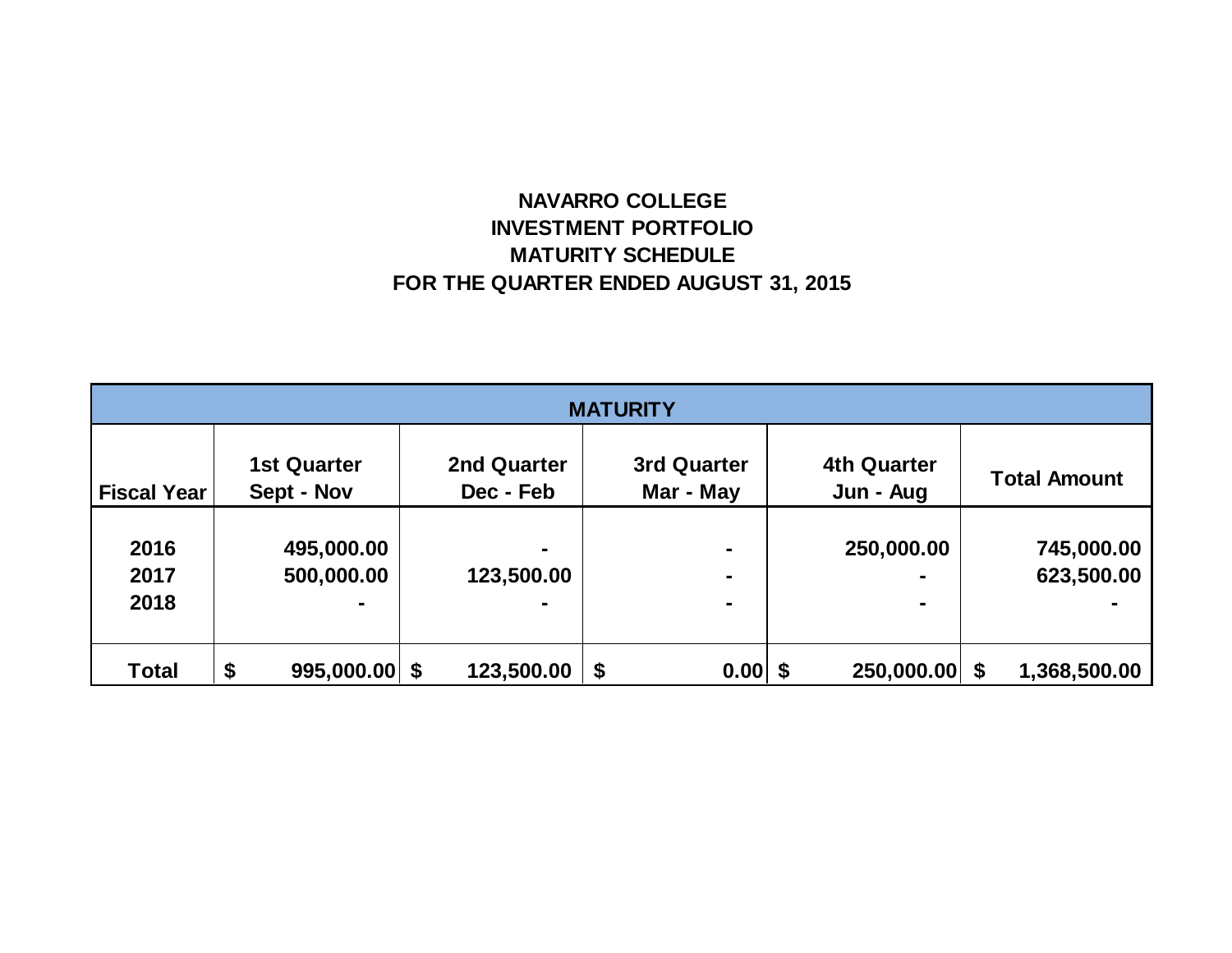## **NAVARRO COLLEGE INVESTMENT PORTFOLIO MATURITY SCHEDULE FOR THE QUARTER ENDED AUGUST 31, 2015**

| <b>MATURITY</b>    |                                  |                          |                          |                                 |                     |  |  |  |
|--------------------|----------------------------------|--------------------------|--------------------------|---------------------------------|---------------------|--|--|--|
| <b>Fiscal Year</b> | <b>1st Quarter</b><br>Sept - Nov | 2nd Quarter<br>Dec - Feb | 3rd Quarter<br>Mar - May | <b>4th Quarter</b><br>Jun - Aug | <b>Total Amount</b> |  |  |  |
|                    |                                  |                          |                          |                                 |                     |  |  |  |
| 2016               | 495,000.00                       | $\blacksquare$           | $\blacksquare$           | 250,000.00                      | 745,000.00          |  |  |  |
| 2017               | 500,000.00                       | 123,500.00               |                          | $\blacksquare$                  | 623,500.00          |  |  |  |
| 2018               |                                  |                          |                          | $\blacksquare$                  |                     |  |  |  |
|                    |                                  |                          |                          |                                 |                     |  |  |  |
| <b>Total</b>       | \$<br>$995,000.00$ \$            | 123,500.00               | \$<br>0.00               | 250,000.00 \$<br>-\$            | 1,368,500.00        |  |  |  |